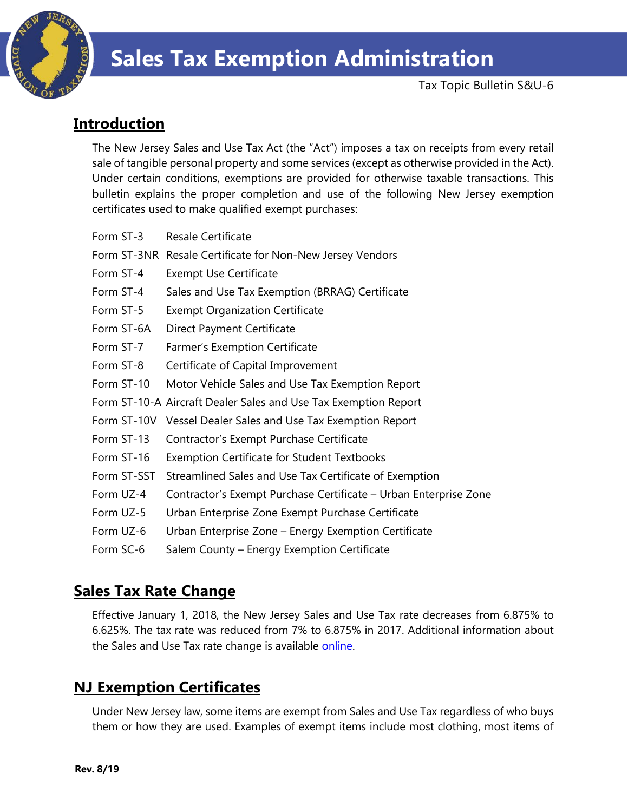

Tax Topic Bulletin S&U-6

# **Introduction**

The New Jersey Sales and Use Tax Act (the "Act") imposes a tax on receipts from every retail sale of tangible personal property and some services (except as otherwise provided in the Act). Under certain conditions, exemptions are provided for otherwise taxable transactions. This bulletin explains the proper completion and use of the following New Jersey exemption certificates used to make qualified exempt purchases:

| Form ST-3   | <b>Resale Certificate</b>                                        |
|-------------|------------------------------------------------------------------|
|             | Form ST-3NR Resale Certificate for Non-New Jersey Vendors        |
| Form ST-4   | <b>Exempt Use Certificate</b>                                    |
| Form ST-4   | Sales and Use Tax Exemption (BRRAG) Certificate                  |
| Form ST-5   | <b>Exempt Organization Certificate</b>                           |
| Form ST-6A  | <b>Direct Payment Certificate</b>                                |
| Form ST-7   | <b>Farmer's Exemption Certificate</b>                            |
| Form ST-8   | Certificate of Capital Improvement                               |
| Form ST-10  | Motor Vehicle Sales and Use Tax Exemption Report                 |
|             | Form ST-10-A Aircraft Dealer Sales and Use Tax Exemption Report  |
|             | Form ST-10V Vessel Dealer Sales and Use Tax Exemption Report     |
| Form ST-13  | Contractor's Exempt Purchase Certificate                         |
| Form ST-16  | <b>Exemption Certificate for Student Textbooks</b>               |
| Form ST-SST | Streamlined Sales and Use Tax Certificate of Exemption           |
| Form UZ-4   | Contractor's Exempt Purchase Certificate – Urban Enterprise Zone |
| Form UZ-5   | Urban Enterprise Zone Exempt Purchase Certificate                |
| Form UZ-6   | Urban Enterprise Zone – Energy Exemption Certificate             |
| Form SC-6   | Salem County – Energy Exemption Certificate                      |

# **Sales Tax Rate Change**

Effective January 1, 2018, the New Jersey Sales and Use Tax rate decreases from 6.875% to 6.625%. The tax rate was reduced from 7% to 6.875% in 2017. Additional information about the Sales and Use Tax rate change is available [online.](http://www.state.nj.us/treasury/taxation/ratechange/su-overview.shtml)

# **NJ Exemption Certificates**

Under New Jersey law, some items are exempt from Sales and Use Tax regardless of who buys them or how they are used. Examples of exempt items include most clothing, most items of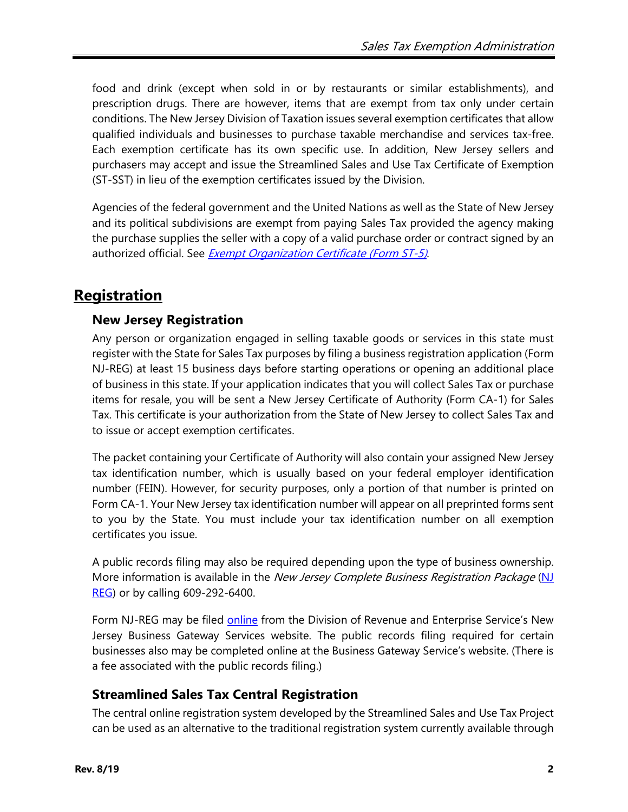food and drink (except when sold in or by restaurants or similar establishments), and prescription drugs. There are however, items that are exempt from tax only under certain conditions. The New Jersey Division of Taxation issues several exemption certificates that allow qualified individuals and businesses to purchase taxable merchandise and services tax-free. Each exemption certificate has its own specific use. In addition, New Jersey sellers and purchasers may accept and issue the Streamlined Sales and Use Tax Certificate of Exemption (ST-SST) in lieu of the exemption certificates issued by the Division.

Agencies of the federal government and the United Nations as well as the State of New Jersey and its political subdivisions are exempt from paying Sales Tax provided the agency making the purchase supplies the seller with a copy of a valid purchase order or contract signed by an authorized official. See *[Exempt Organization Certificate \(Form ST-5\)](#page-16-0)*.

# **Registration**

# **New Jersey Registration**

Any person or organization engaged in selling taxable goods or services in this state must register with the State for Sales Tax purposes by filing a business registration application (Form NJ-REG) at least 15 business days before starting operations or opening an additional place of business in this state. If your application indicates that you will collect Sales Tax or purchase items for resale, you will be sent a New Jersey Certificate of Authority (Form CA-1) for Sales Tax. This certificate is your authorization from the State of New Jersey to collect Sales Tax and to issue or accept exemption certificates.

The packet containing your Certificate of Authority will also contain your assigned New Jersey tax identification number, which is usually based on your federal employer identification number (FEIN). However, for security purposes, only a portion of that number is printed on Form CA-1. Your New Jersey tax identification number will appear on all preprinted forms sent to you by the State. You must include your tax identification number on all exemption certificates you issue.

A public records filing may also be required depending upon the type of business ownership. More information is available in the New Jersey Complete Business Registration Package (NJ [REG\)](http://www.state.nj.us/treasury/revenue/revprnt.shtml) or by calling 609-292-6400.

Form NJ-REG may be filed [online](http://www.state.nj.us/treasury/revenue/gettingregistered.shtml) from the Division of Revenue and Enterprise Service's New Jersey Business Gateway Services website. The public records filing required for certain businesses also may be completed online at the Business Gateway Service's website. (There is a fee associated with the public records filing.)

# **Streamlined Sales Tax Central Registration**

The central online registration system developed by the Streamlined Sales and Use Tax Project can be used as an alternative to the traditional registration system currently available through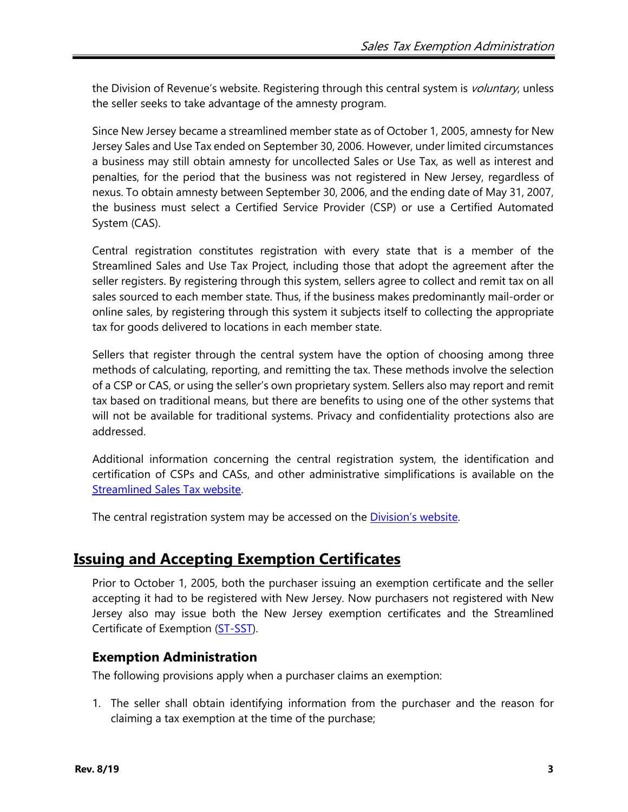the Division of Revenue's website. Registering through this central system is *voluntary*, unless the seller seeks to take advantage of the amnesty program.

Since New Jersey became a streamlined member state as of October 1, 2005, amnesty for New Jersey Sales and Use Tax ended on September 30, 2006. However, under limited circumstances a business may still obtain amnesty for uncollected Sales or Use Tax, as well as interest and penalties, for the period that the business was not registered in New Jersey, regardless of nexus. To obtain amnesty between September 30, 2006, and the ending date of May 31, 2007, the business must select a Certified Service Provider (CSP) or use a Certified Automated System (CAS).

Central registration constitutes registration with every state that is a member of the Streamlined Sales and Use Tax Project, including those that adopt the agreement after the seller registers. By registering through this system, sellers agree to collect and remit tax on all sales sourced to each member state. Thus, if the business makes predominantly mail-order or online sales, by registering through this system it subjects itself to collecting the appropriate tax for goods delivered to locations in each member state.

Sellers that register through the central system have the option of choosing among three methods of calculating, reporting, and remitting the tax. These methods involve the selection of a CSP or CAS, or using the seller's own proprietary system. Sellers also may report and remit tax based on traditional means, but there are benefits to using one of the other systems that will not be available for traditional systems. Privacy and confidentiality protections also are addressed.

Additional information concerning the central registration system, the identification and certification of CSPs and CASs, and other administrative simplifications is available on the [Streamlined Sales Tax website.](http://www.streamlinedsalestax.org/)

The central registration system may be accessed on the *Division's website*.

# **Issuing and Accepting Exemption Certificates**

Prior to October 1, 2005, both the purchaser issuing an exemption certificate and the seller accepting it had to be registered with New Jersey. Now purchasers not registered with New Jersey also may issue both the New Jersey exemption certificates and the Streamlined Certificate of Exemption [\(ST-SST\)](http://www.state.nj.us/treasury/taxation/pdf/other_forms/sales/st_sst.pdf).

# **Exemption Administration**

The following provisions apply when a purchaser claims an exemption:

1. The seller shall obtain identifying information from the purchaser and the reason for claiming a tax exemption at the time of the purchase;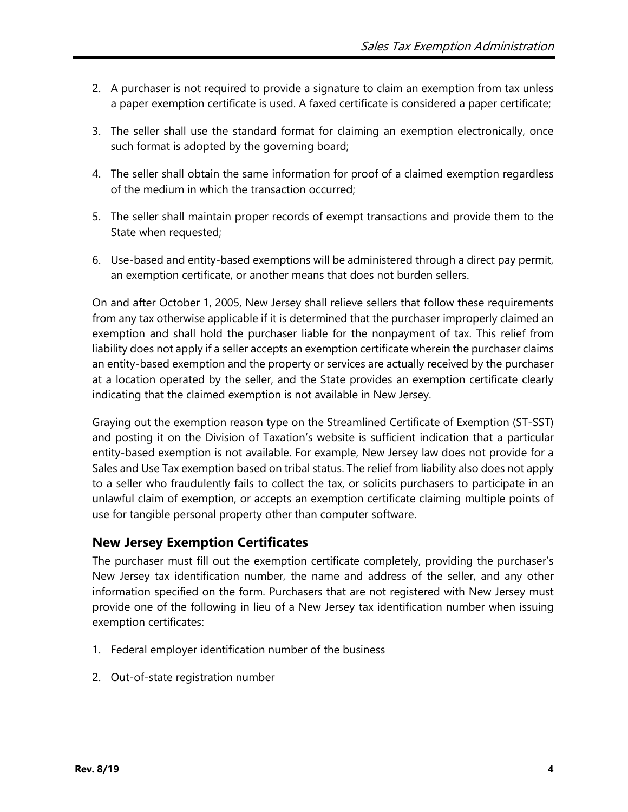- 2. A purchaser is not required to provide a signature to claim an exemption from tax unless a paper exemption certificate is used. A faxed certificate is considered a paper certificate;
- 3. The seller shall use the standard format for claiming an exemption electronically, once such format is adopted by the governing board;
- 4. The seller shall obtain the same information for proof of a claimed exemption regardless of the medium in which the transaction occurred;
- 5. The seller shall maintain proper records of exempt transactions and provide them to the State when requested;
- 6. Use-based and entity-based exemptions will be administered through a direct pay permit, an exemption certificate, or another means that does not burden sellers.

On and after October 1, 2005, New Jersey shall relieve sellers that follow these requirements from any tax otherwise applicable if it is determined that the purchaser improperly claimed an exemption and shall hold the purchaser liable for the nonpayment of tax. This relief from liability does not apply if a seller accepts an exemption certificate wherein the purchaser claims an entity-based exemption and the property or services are actually received by the purchaser at a location operated by the seller, and the State provides an exemption certificate clearly indicating that the claimed exemption is not available in New Jersey.

Graying out the exemption reason type on the Streamlined Certificate of Exemption (ST-SST) and posting it on the Division of Taxation's website is sufficient indication that a particular entity-based exemption is not available. For example, New Jersey law does not provide for a Sales and Use Tax exemption based on tribal status. The relief from liability also does not apply to a seller who fraudulently fails to collect the tax, or solicits purchasers to participate in an unlawful claim of exemption, or accepts an exemption certificate claiming multiple points of use for tangible personal property other than computer software.

# **New Jersey Exemption Certificates**

The purchaser must fill out the exemption certificate completely, providing the purchaser's New Jersey tax identification number, the name and address of the seller, and any other information specified on the form. Purchasers that are not registered with New Jersey must provide one of the following in lieu of a New Jersey tax identification number when issuing exemption certificates:

- 1. Federal employer identification number of the business
- 2. Out-of-state registration number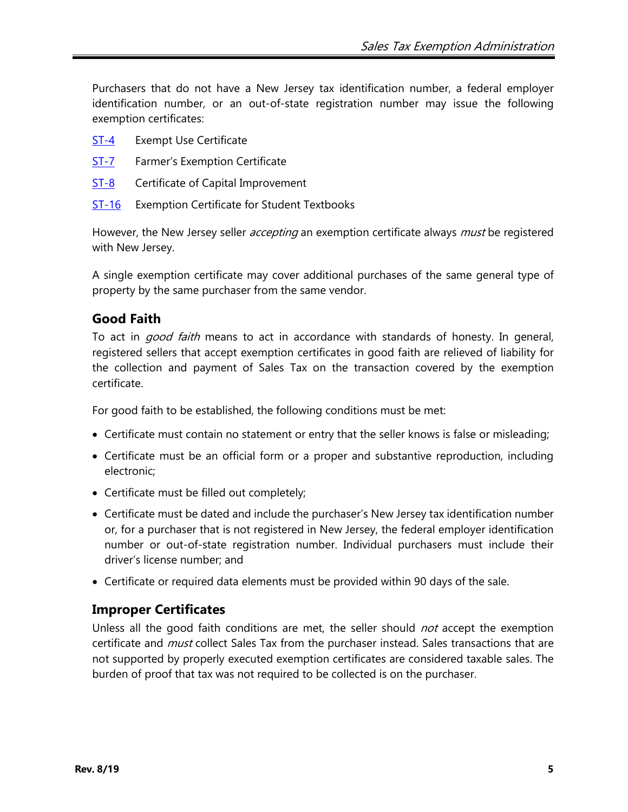Purchasers that do not have a New Jersey tax identification number, a federal employer identification number, or an out-of-state registration number may issue the following exemption certificates:

- [ST-4](http://www.state.nj.us/treasury/taxation/pdf/other_forms/sales/st4.pdf) Exempt Use Certificate
- [ST-7](http://www.state.nj.us/treasury/taxation/pdf/other_forms/sales/st7.pdf) Farmer's Exemption Certificate
- [ST-8](http://www.state.nj.us/treasury/taxation/pdf/other_forms/sales/st8.pdf) Certificate of Capital Improvement
- [ST-16](http://www.state.nj.us/treasury/taxation/pdf/other_forms/sales/st16.pdf) Exemption Certificate for Student Textbooks

However, the New Jersey seller *accepting* an exemption certificate always *must* be registered with New Jersey.

A single exemption certificate may cover additional purchases of the same general type of property by the same purchaser from the same vendor.

## <span id="page-4-0"></span>**Good Faith**

To act in *good faith* means to act in accordance with standards of honesty. In general, registered sellers that accept exemption certificates in good faith are relieved of liability for the collection and payment of Sales Tax on the transaction covered by the exemption certificate.

For good faith to be established, the following conditions must be met:

- Certificate must contain no statement or entry that the seller knows is false or misleading;
- Certificate must be an official form or a proper and substantive reproduction, including electronic;
- Certificate must be filled out completely;
- Certificate must be dated and include the purchaser's New Jersey tax identification number or, for a purchaser that is not registered in New Jersey, the federal employer identification number or out-of-state registration number. Individual purchasers must include their driver's license number; and
- Certificate or required data elements must be provided within 90 days of the sale.

## **Improper Certificates**

Unless all the good faith conditions are met, the seller should *not* accept the exemption certificate and *must* collect Sales Tax from the purchaser instead. Sales transactions that are not supported by properly executed exemption certificates are considered taxable sales. The burden of proof that tax was not required to be collected is on the purchaser.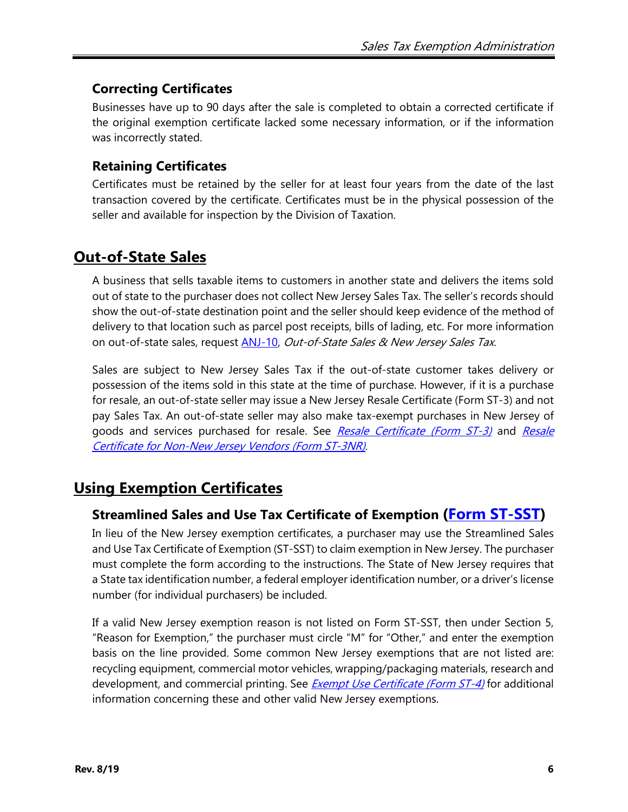# **Correcting Certificates**

Businesses have up to 90 days after the sale is completed to obtain a corrected certificate if the original exemption certificate lacked some necessary information, or if the information was incorrectly stated.

# **Retaining Certificates**

Certificates must be retained by the seller for at least four years from the date of the last transaction covered by the certificate. Certificates must be in the physical possession of the seller and available for inspection by the Division of Taxation.

# **Out-of-State Sales**

A business that sells taxable items to customers in another state and delivers the items sold out of state to the purchaser does not collect New Jersey Sales Tax. The seller's records should show the out-of-state destination point and the seller should keep evidence of the method of delivery to that location such as parcel post receipts, bills of lading, etc. For more information on out-of-state sales, request [ANJ-10,](http://www.state.nj.us/treasury/taxation/pdf/pubs/sales/anj10.pdf) Out-of-State Sales & New Jersey Sales Tax.

Sales are subject to New Jersey Sales Tax if the out-of-state customer takes delivery or possession of the items sold in this state at the time of purchase. However, if it is a purchase for resale, an out-of-state seller may issue a New Jersey Resale Certificate (Form ST-3) and not pay Sales Tax. An out-of-state seller may also make tax-exempt purchases in New Jersey of goods and services purchased for resale. See [Resale Certificate \(Form ST-3\)](#page-6-0) and Resale [Certificate for Non-New Jersey Vendors \(Form ST-3NR\)](#page-9-0).

# **Using Exemption Certificates**

# **Streamlined Sales and Use Tax Certificate of Exemption [\(Form ST-SST\)](http://www.state.nj.us/treasury/taxation/pdf/other_forms/sales/st_sst.pdf)**

In lieu of the New Jersey exemption certificates, a purchaser may use the Streamlined Sales and Use Tax Certificate of Exemption (ST-SST) to claim exemption in New Jersey. The purchaser must complete the form according to the instructions. The State of New Jersey requires that a State tax identification number, a federal employer identification number, or a driver's license number (for individual purchasers) be included.

If a valid New Jersey exemption reason is not listed on Form ST-SST, then under Section 5, "Reason for Exemption," the purchaser must circle "M" for "Other," and enter the exemption basis on the line provided. Some common New Jersey exemptions that are not listed are: recycling equipment, commercial motor vehicles, wrapping/packaging materials, research and development, and commercial printing. See *[Exempt Use Certificate \(Form ST-4\)](#page-9-1)* for additional information concerning these and other valid New Jersey exemptions.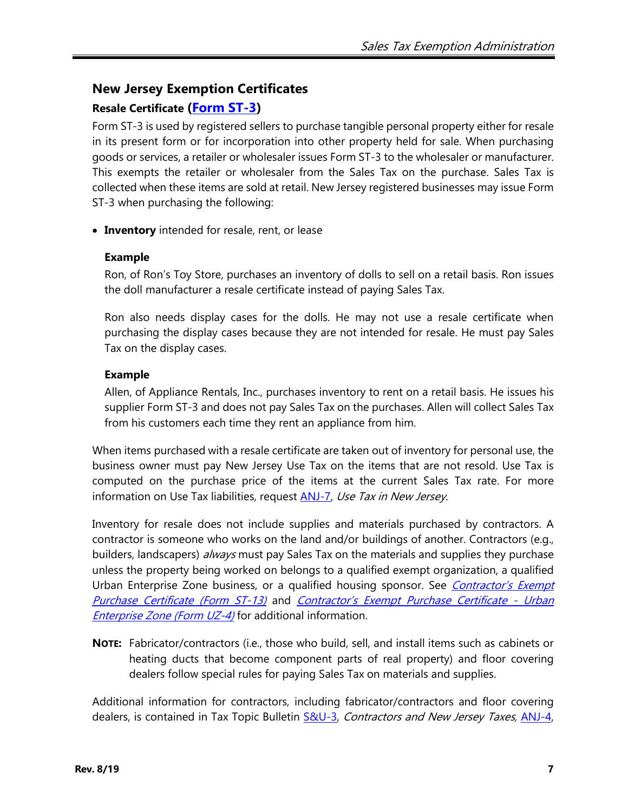# **New Jersey Exemption Certificates**

# <span id="page-6-0"></span>**Resale Certificate [\(Form ST-3\)](http://www.state.nj.us/treasury/taxation/pdf/other_forms/sales/st3.pdf)**

Form ST-3 is used by registered sellers to purchase tangible personal property either for resale in its present form or for incorporation into other property held for sale. When purchasing goods or services, a retailer or wholesaler issues Form ST-3 to the wholesaler or manufacturer. This exempts the retailer or wholesaler from the Sales Tax on the purchase. Sales Tax is collected when these items are sold at retail. New Jersey registered businesses may issue Form ST-3 when purchasing the following:

• **Inventory** intended for resale, rent, or lease

### **Example**

Ron, of Ron's Toy Store, purchases an inventory of dolls to sell on a retail basis. Ron issues the doll manufacturer a resale certificate instead of paying Sales Tax.

Ron also needs display cases for the dolls. He may not use a resale certificate when purchasing the display cases because they are not intended for resale. He must pay Sales Tax on the display cases.

### **Example**

Allen, of Appliance Rentals, Inc., purchases inventory to rent on a retail basis. He issues his supplier Form ST-3 and does not pay Sales Tax on the purchases. Allen will collect Sales Tax from his customers each time they rent an appliance from him.

When items purchased with a resale certificate are taken out of inventory for personal use, the business owner must pay New Jersey Use Tax on the items that are not resold. Use Tax is computed on the purchase price of the items at the current Sales Tax rate. For more information on Use Tax liabilities, request **ANJ-7**, Use Tax in New Jersey.

Inventory for resale does not include supplies and materials purchased by contractors. A contractor is someone who works on the land and/or buildings of another. Contractors (e.g., builders, landscapers) *always* must pay Sales Tax on the materials and supplies they purchase unless the property being worked on belongs to a qualified exempt organization, a qualified Urban Enterprise Zone business, or a qualified housing sponsor. See *Contractor's Exempt* [Purchase Certificate \(Form ST-13\)](#page-19-0) and [Contractor's Exempt Purchase Certificate -](#page-20-0) Urban [Enterprise Zone \(Form UZ-4\)](#page-20-0) for additional information.

**NOTE:** Fabricator/contractors (i.e., those who build, sell, and install items such as cabinets or heating ducts that become component parts of real property) and floor covering dealers follow special rules for paying Sales Tax on materials and supplies.

Additional information for contractors, including fabricator/contractors and floor covering dealers, is contained in Tax Topic Bulletin [S&U-3,](http://www.state.nj.us/treasury/taxation/pdf/pubs/sales/su3.pdf) Contractors and New Jersey Taxes, ANJ-4,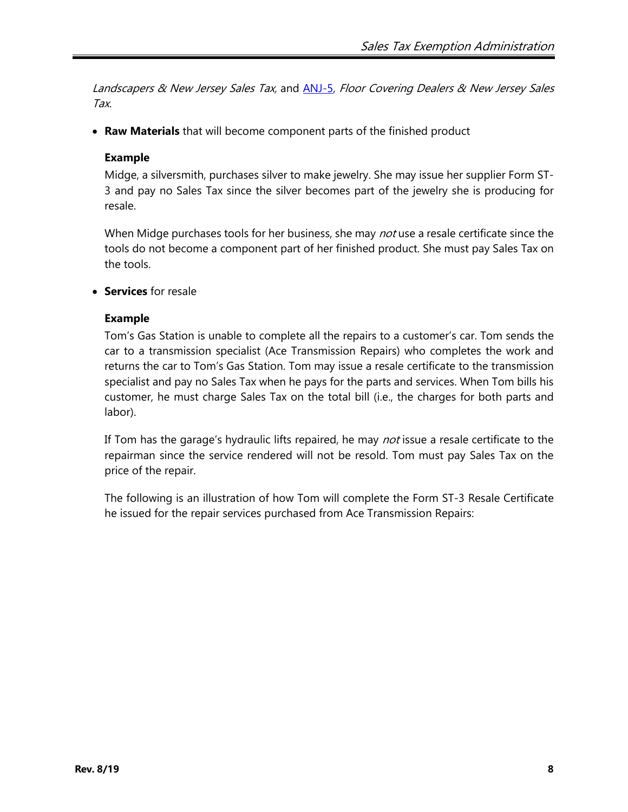Landscapers & New Jersey Sales Tax, and [ANJ-5,](http://www.state.nj.us/treasury/taxation/pdf/pubs/sales/anj5.pdf) Floor Covering Dealers & New Jersey Sales Tax.

• **Raw Materials** that will become component parts of the finished product

#### **Example**

Midge, a silversmith, purchases silver to make jewelry. She may issue her supplier Form ST-3 and pay no Sales Tax since the silver becomes part of the jewelry she is producing for resale.

When Midge purchases tools for her business, she may *not* use a resale certificate since the tools do not become a component part of her finished product. She must pay Sales Tax on the tools.

• **Services** for resale

#### **Example**

Tom's Gas Station is unable to complete all the repairs to a customer's car. Tom sends the car to a transmission specialist (Ace Transmission Repairs) who completes the work and returns the car to Tom's Gas Station. Tom may issue a resale certificate to the transmission specialist and pay no Sales Tax when he pays for the parts and services. When Tom bills his customer, he must charge Sales Tax on the total bill (i.e., the charges for both parts and labor).

If Tom has the garage's hydraulic lifts repaired, he may *not* issue a resale certificate to the repairman since the service rendered will not be resold. Tom must pay Sales Tax on the price of the repair.

The following is an illustration of how Tom will complete the Form ST-3 Resale Certificate he issued for the repair services purchased from Ace Transmission Repairs: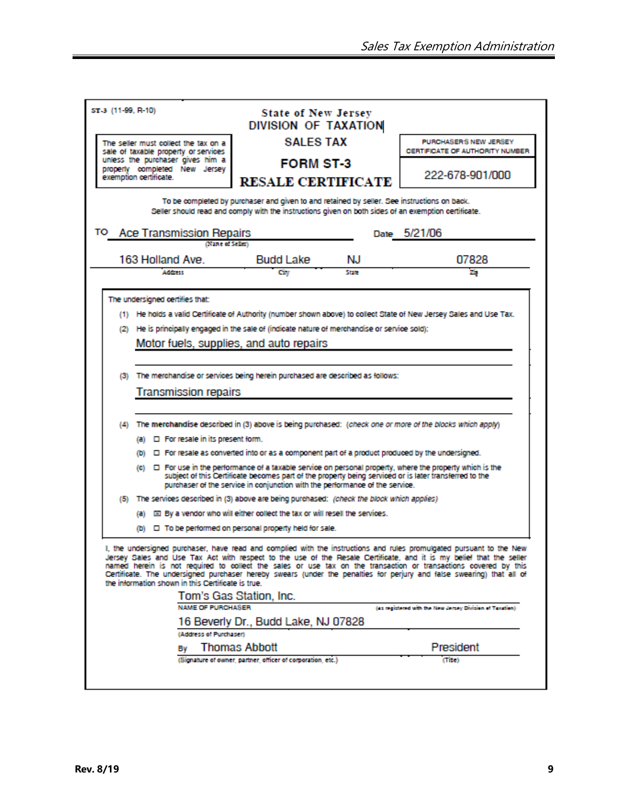| ST-3 (11-99, R-10)                                                                  |                                                                                                              |                                                                                                                                                                                                     |              |                                                                                                                                                                                                                                                                                                                                                                                                                                                                                                                |  |  |  |  |
|-------------------------------------------------------------------------------------|--------------------------------------------------------------------------------------------------------------|-----------------------------------------------------------------------------------------------------------------------------------------------------------------------------------------------------|--------------|----------------------------------------------------------------------------------------------------------------------------------------------------------------------------------------------------------------------------------------------------------------------------------------------------------------------------------------------------------------------------------------------------------------------------------------------------------------------------------------------------------------|--|--|--|--|
|                                                                                     |                                                                                                              | <b>State of New Jersey</b><br>DIVISION OF TAXATION                                                                                                                                                  |              |                                                                                                                                                                                                                                                                                                                                                                                                                                                                                                                |  |  |  |  |
|                                                                                     | The seller must collect the tax on a<br>sale of taxable property or services                                 | <b>SALES TAX</b>                                                                                                                                                                                    |              | PURCHASER'S NEW JERSEY<br>CERTIFICATE OF AUTHORITY NUMBER                                                                                                                                                                                                                                                                                                                                                                                                                                                      |  |  |  |  |
|                                                                                     | unless the purchaser gives him a<br>property completed New Jersey                                            | <b>FORM ST-3</b><br><b>RESALE CERTIFICATE</b>                                                                                                                                                       |              |                                                                                                                                                                                                                                                                                                                                                                                                                                                                                                                |  |  |  |  |
|                                                                                     | exemption certificate.                                                                                       |                                                                                                                                                                                                     |              | 222-678-901/000                                                                                                                                                                                                                                                                                                                                                                                                                                                                                                |  |  |  |  |
|                                                                                     |                                                                                                              | To be completed by purchaser and given to and retained by seller. See instructions on back.<br>Seller should read and comply with the instructions given on both sides of an exemption certificate. |              |                                                                                                                                                                                                                                                                                                                                                                                                                                                                                                                |  |  |  |  |
| Date 5/21/06<br>TO Ace Transmission Repairs                                         |                                                                                                              |                                                                                                                                                                                                     |              |                                                                                                                                                                                                                                                                                                                                                                                                                                                                                                                |  |  |  |  |
|                                                                                     | (Nane of Seller)                                                                                             |                                                                                                                                                                                                     |              |                                                                                                                                                                                                                                                                                                                                                                                                                                                                                                                |  |  |  |  |
|                                                                                     | 163 Holland Ave.<br>Address                                                                                  | <b>Budd Lake</b>                                                                                                                                                                                    | NJ.<br>State | 07828                                                                                                                                                                                                                                                                                                                                                                                                                                                                                                          |  |  |  |  |
|                                                                                     |                                                                                                              | City                                                                                                                                                                                                |              | zip                                                                                                                                                                                                                                                                                                                                                                                                                                                                                                            |  |  |  |  |
|                                                                                     | The undersigned certifies that:                                                                              |                                                                                                                                                                                                     |              |                                                                                                                                                                                                                                                                                                                                                                                                                                                                                                                |  |  |  |  |
|                                                                                     |                                                                                                              |                                                                                                                                                                                                     |              | (1) He holds a valid Certificate of Authority (number shown above) to collect State of New Jersey Sales and Use Tax.                                                                                                                                                                                                                                                                                                                                                                                           |  |  |  |  |
|                                                                                     | (2) He is principally engaged in the sale of (indicate nature of merchandise or service sold):               |                                                                                                                                                                                                     |              |                                                                                                                                                                                                                                                                                                                                                                                                                                                                                                                |  |  |  |  |
|                                                                                     |                                                                                                              | Motor fuels, supplies, and auto repairs                                                                                                                                                             |              |                                                                                                                                                                                                                                                                                                                                                                                                                                                                                                                |  |  |  |  |
|                                                                                     |                                                                                                              |                                                                                                                                                                                                     |              |                                                                                                                                                                                                                                                                                                                                                                                                                                                                                                                |  |  |  |  |
|                                                                                     |                                                                                                              |                                                                                                                                                                                                     |              |                                                                                                                                                                                                                                                                                                                                                                                                                                                                                                                |  |  |  |  |
| The merchandise or services being herein purchased are described as follows:<br>(3) |                                                                                                              |                                                                                                                                                                                                     |              |                                                                                                                                                                                                                                                                                                                                                                                                                                                                                                                |  |  |  |  |
|                                                                                     |                                                                                                              |                                                                                                                                                                                                     |              |                                                                                                                                                                                                                                                                                                                                                                                                                                                                                                                |  |  |  |  |
|                                                                                     |                                                                                                              |                                                                                                                                                                                                     |              |                                                                                                                                                                                                                                                                                                                                                                                                                                                                                                                |  |  |  |  |
|                                                                                     | (4) The merchandise described in (3) above is being purchased: (check one or more of the blocks which apply) |                                                                                                                                                                                                     |              |                                                                                                                                                                                                                                                                                                                                                                                                                                                                                                                |  |  |  |  |
| (a) $\Box$ For resale in its present form.                                          |                                                                                                              |                                                                                                                                                                                                     |              |                                                                                                                                                                                                                                                                                                                                                                                                                                                                                                                |  |  |  |  |
|                                                                                     |                                                                                                              | (b) $\Box$ For resale as converted into or as a component part of a product produced by the undersigned.                                                                                            |              |                                                                                                                                                                                                                                                                                                                                                                                                                                                                                                                |  |  |  |  |
|                                                                                     |                                                                                                              |                                                                                                                                                                                                     |              | $\left\langle \mathbf{c}\right\rangle$ $\quad$ $\Box$ For use in the performance of a taxable service on personal property, where the property which is the                                                                                                                                                                                                                                                                                                                                                    |  |  |  |  |
|                                                                                     |                                                                                                              | subject of this Certificate becomes part of the property being serviced or is later transferred to the<br>purchaser of the service in conjunction with the performance of the service.              |              |                                                                                                                                                                                                                                                                                                                                                                                                                                                                                                                |  |  |  |  |
|                                                                                     | (5) The services described in (3) above are being purchased: /check the block which applies)                 |                                                                                                                                                                                                     |              |                                                                                                                                                                                                                                                                                                                                                                                                                                                                                                                |  |  |  |  |
|                                                                                     |                                                                                                              |                                                                                                                                                                                                     |              |                                                                                                                                                                                                                                                                                                                                                                                                                                                                                                                |  |  |  |  |
|                                                                                     |                                                                                                              | (a) [3] By a vendor who will either collect the tax or will resell the services.                                                                                                                    |              |                                                                                                                                                                                                                                                                                                                                                                                                                                                                                                                |  |  |  |  |
|                                                                                     |                                                                                                              | (b) $\Box$ To be performed on personal property held for sale.                                                                                                                                      |              |                                                                                                                                                                                                                                                                                                                                                                                                                                                                                                                |  |  |  |  |
|                                                                                     | the information shown in this Certificate is true.<br><b>NAME OF PURCHASER</b>                               | Tom's Gas Station, Inc.<br>16 Beverly Dr., Budd Lake, NJ 07828                                                                                                                                      |              | (as negistered with the New Jersey Division of Taxation)                                                                                                                                                                                                                                                                                                                                                                                                                                                       |  |  |  |  |
|                                                                                     | (Address of Purchaser)                                                                                       |                                                                                                                                                                                                     |              |                                                                                                                                                                                                                                                                                                                                                                                                                                                                                                                |  |  |  |  |
|                                                                                     | Bv                                                                                                           | <b>Thomas Abbott</b><br>(Signature of owner, partner, officer of corporation, etc.)                                                                                                                 |              | I, the undersigned purchaser, have read and complied with the instructions and rules promulgated pursuant to the New<br>Jersey Sales and Use Tax Act with respect to the use of the Resale Certificate, and it is my belief that the seller<br>named herein is not required to collect the sales or use tax on the transaction or transactions covered by this<br>Certificate. The undersigned purchaser hereby swears (under the penalties for perjury and false swearing) that all of<br>President<br>(Tite) |  |  |  |  |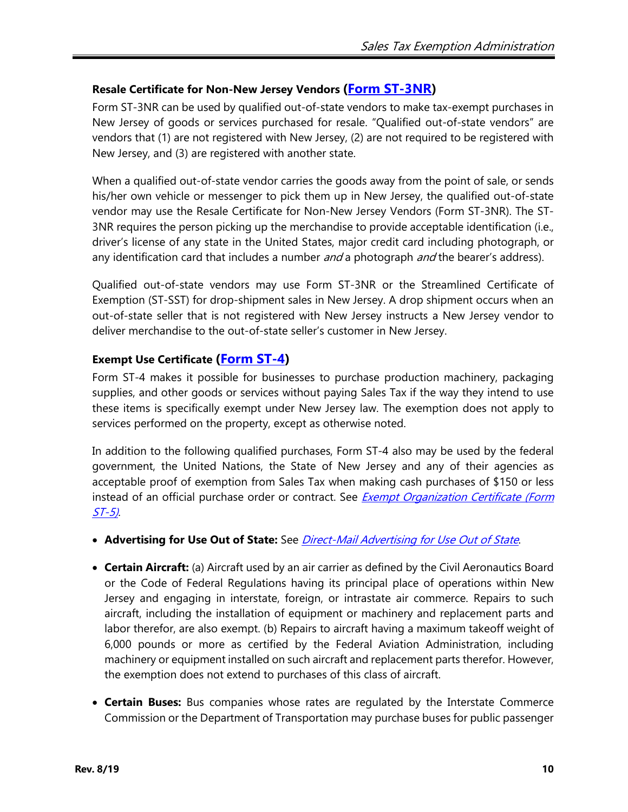#### <span id="page-9-0"></span>**Resale Certificate for Non-New Jersey Vendors [\(Form ST-3NR\)](http://www.state.nj.us/treasury/taxation/pdf/other_forms/sales/st3nr.pdf)**

Form ST-3NR can be used by qualified out-of-state vendors to make tax-exempt purchases in New Jersey of goods or services purchased for resale. "Qualified out-of-state vendors" are vendors that (1) are not registered with New Jersey, (2) are not required to be registered with New Jersey, and (3) are registered with another state.

When a qualified out-of-state vendor carries the goods away from the point of sale, or sends his/her own vehicle or messenger to pick them up in New Jersey, the qualified out-of-state vendor may use the Resale Certificate for Non-New Jersey Vendors (Form ST-3NR). The ST-3NR requires the person picking up the merchandise to provide acceptable identification (i.e., driver's license of any state in the United States, major credit card including photograph, or any identification card that includes a number *and* a photograph *and* the bearer's address).

Qualified out-of-state vendors may use Form ST-3NR or the Streamlined Certificate of Exemption (ST-SST) for drop-shipment sales in New Jersey. A drop shipment occurs when an out-of-state seller that is not registered with New Jersey instructs a New Jersey vendor to deliver merchandise to the out-of-state seller's customer in New Jersey.

### <span id="page-9-1"></span>**Exempt Use Certificate [\(Form ST-4\)](http://www.state.nj.us/treasury/taxation/pdf/other_forms/sales/st4.pdf)**

Form ST-4 makes it possible for businesses to purchase production machinery, packaging supplies, and other goods or services without paying Sales Tax if the way they intend to use these items is specifically exempt under New Jersey law. The exemption does not apply to services performed on the property, except as otherwise noted.

In addition to the following qualified purchases, Form ST-4 also may be used by the federal government, the United Nations, the State of New Jersey and any of their agencies as acceptable proof of exemption from Sales Tax when making cash purchases of \$150 or less instead of an official purchase order or contract. See *Exempt Organization Certificate (Form*  $ST-5$ ).

- **Advertising for Use Out of State:** See [Direct-Mail Advertising for Use Out of](#page-11-0) State.
- **Certain Aircraft:** (a) Aircraft used by an air carrier as defined by the Civil Aeronautics Board or the Code of Federal Regulations having its principal place of operations within New Jersey and engaging in interstate, foreign, or intrastate air commerce. Repairs to such aircraft, including the installation of equipment or machinery and replacement parts and labor therefor, are also exempt. (b) Repairs to aircraft having a maximum takeoff weight of 6,000 pounds or more as certified by the Federal Aviation Administration, including machinery or equipment installed on such aircraft and replacement parts therefor. However, the exemption does not extend to purchases of this class of aircraft.
- **Certain Buses:** Bus companies whose rates are regulated by the Interstate Commerce Commission or the Department of Transportation may purchase buses for public passenger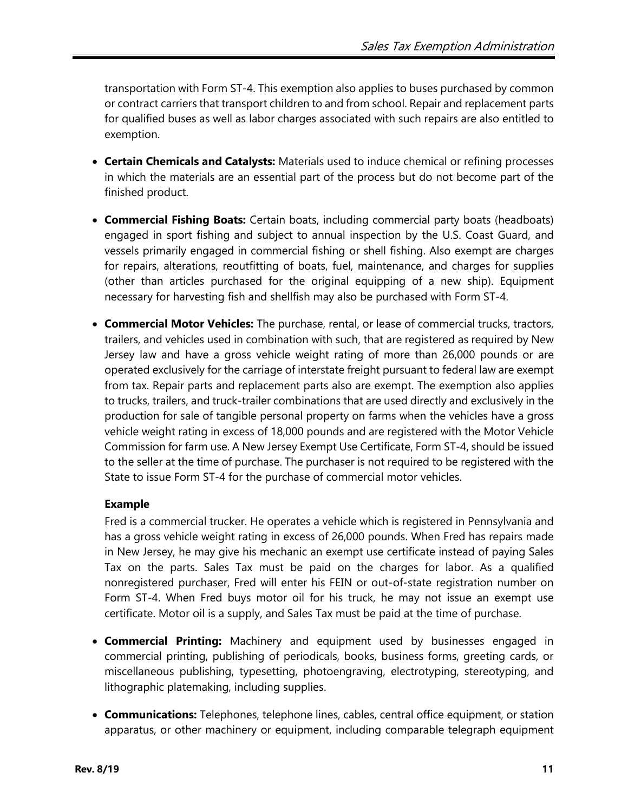transportation with Form ST-4. This exemption also applies to buses purchased by common or contract carriers that transport children to and from school. Repair and replacement parts for qualified buses as well as labor charges associated with such repairs are also entitled to exemption.

- **Certain Chemicals and Catalysts:** Materials used to induce chemical or refining processes in which the materials are an essential part of the process but do not become part of the finished product.
- **Commercial Fishing Boats:** Certain boats, including commercial party boats (headboats) engaged in sport fishing and subject to annual inspection by the U.S. Coast Guard, and vessels primarily engaged in commercial fishing or shell fishing. Also exempt are charges for repairs, alterations, reoutfitting of boats, fuel, maintenance, and charges for supplies (other than articles purchased for the original equipping of a new ship). Equipment necessary for harvesting fish and shellfish may also be purchased with Form ST-4.
- <span id="page-10-0"></span>• **Commercial Motor Vehicles:** The purchase, rental, or lease of commercial trucks, tractors, trailers, and vehicles used in combination with such, that are registered as required by New Jersey law and have a gross vehicle weight rating of more than 26,000 pounds or are operated exclusively for the carriage of interstate freight pursuant to federal law are exempt from tax. Repair parts and replacement parts also are exempt. The exemption also applies to trucks, trailers, and truck-trailer combinations that are used directly and exclusively in the production for sale of tangible personal property on farms when the vehicles have a gross vehicle weight rating in excess of 18,000 pounds and are registered with the Motor Vehicle Commission for farm use. A New Jersey Exempt Use Certificate, Form ST-4, should be issued to the seller at the time of purchase. The purchaser is not required to be registered with the State to issue Form ST-4 for the purchase of commercial motor vehicles.

#### **Example**

Fred is a commercial trucker. He operates a vehicle which is registered in Pennsylvania and has a gross vehicle weight rating in excess of 26,000 pounds. When Fred has repairs made in New Jersey, he may give his mechanic an exempt use certificate instead of paying Sales Tax on the parts. Sales Tax must be paid on the charges for labor. As a qualified nonregistered purchaser, Fred will enter his FEIN or out-of-state registration number on Form ST-4. When Fred buys motor oil for his truck, he may not issue an exempt use certificate. Motor oil is a supply, and Sales Tax must be paid at the time of purchase.

- **Commercial Printing:** Machinery and equipment used by businesses engaged in commercial printing, publishing of periodicals, books, business forms, greeting cards, or miscellaneous publishing, typesetting, photoengraving, electrotyping, stereotyping, and lithographic platemaking, including supplies.
- **Communications:** Telephones, telephone lines, cables, central office equipment, or station apparatus, or other machinery or equipment, including comparable telegraph equipment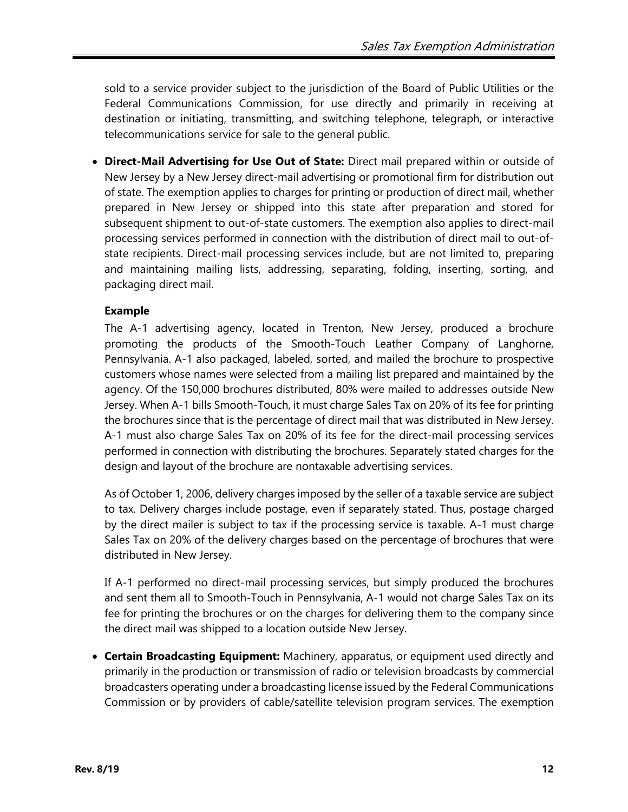sold to a service provider subject to the jurisdiction of the Board of Public Utilities or the Federal Communications Commission, for use directly and primarily in receiving at destination or initiating, transmitting, and switching telephone, telegraph, or interactive telecommunications service for sale to the general public.

<span id="page-11-0"></span>• **Direct-Mail Advertising for Use Out of State:** Direct mail prepared within or outside of New Jersey by a New Jersey direct-mail advertising or promotional firm for distribution out of state. The exemption applies to charges for printing or production of direct mail, whether prepared in New Jersey or shipped into this state after preparation and stored for subsequent shipment to out-of-state customers. The exemption also applies to direct-mail processing services performed in connection with the distribution of direct mail to out-ofstate recipients. Direct-mail processing services include, but are not limited to, preparing and maintaining mailing lists, addressing, separating, folding, inserting, sorting, and packaging direct mail.

### **Example**

The A-1 advertising agency, located in Trenton, New Jersey, produced a brochure promoting the products of the Smooth-Touch Leather Company of Langhorne, Pennsylvania. A-1 also packaged, labeled, sorted, and mailed the brochure to prospective customers whose names were selected from a mailing list prepared and maintained by the agency. Of the 150,000 brochures distributed, 80% were mailed to addresses outside New Jersey. When A-1 bills Smooth-Touch, it must charge Sales Tax on 20% of its fee for printing the brochures since that is the percentage of direct mail that was distributed in New Jersey. A-1 must also charge Sales Tax on 20% of its fee for the direct-mail processing services performed in connection with distributing the brochures. Separately stated charges for the design and layout of the brochure are nontaxable advertising services.

As of October 1, 2006, delivery charges imposed by the seller of a taxable service are subject to tax. Delivery charges include postage, even if separately stated. Thus, postage charged by the direct mailer is subject to tax if the processing service is taxable. A-1 must charge Sales Tax on 20% of the delivery charges based on the percentage of brochures that were distributed in New Jersey.

If A-1 performed no direct-mail processing services, but simply produced the brochures and sent them all to Smooth-Touch in Pennsylvania, A-1 would not charge Sales Tax on its fee for printing the brochures or on the charges for delivering them to the company since the direct mail was shipped to a location outside New Jersey.

• **Certain Broadcasting Equipment:** Machinery, apparatus, or equipment used directly and primarily in the production or transmission of radio or television broadcasts by commercial broadcasters operating under a broadcasting license issued by the Federal Communications Commission or by providers of cable/satellite television program services. The exemption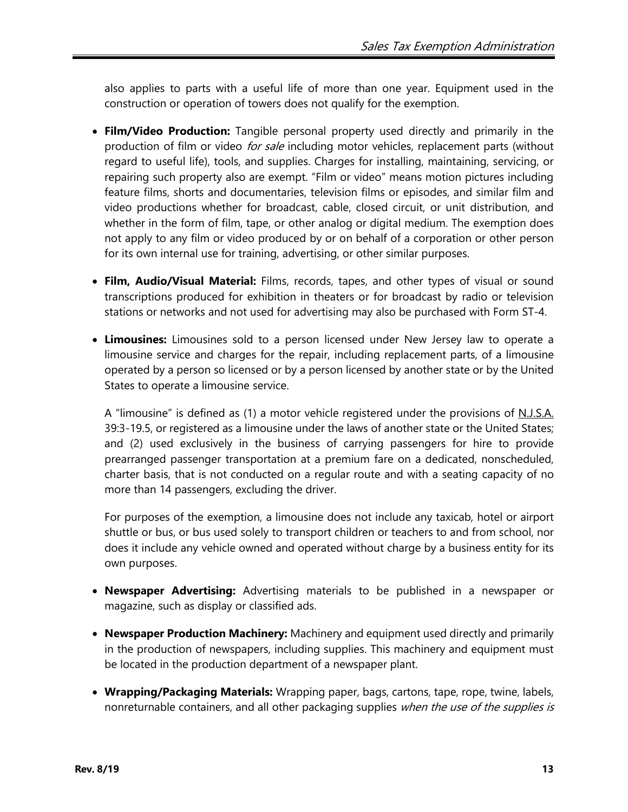also applies to parts with a useful life of more than one year. Equipment used in the construction or operation of towers does not qualify for the exemption.

- **Film/Video Production:** Tangible personal property used directly and primarily in the production of film or video for sale including motor vehicles, replacement parts (without regard to useful life), tools, and supplies. Charges for installing, maintaining, servicing, or repairing such property also are exempt. "Film or video" means motion pictures including feature films, shorts and documentaries, television films or episodes, and similar film and video productions whether for broadcast, cable, closed circuit, or unit distribution, and whether in the form of film, tape, or other analog or digital medium. The exemption does not apply to any film or video produced by or on behalf of a corporation or other person for its own internal use for training, advertising, or other similar purposes.
- **Film, Audio/Visual Material:** Films, records, tapes, and other types of visual or sound transcriptions produced for exhibition in theaters or for broadcast by radio or television stations or networks and not used for advertising may also be purchased with Form ST-4.
- **Limousines:** Limousines sold to a person licensed under New Jersey law to operate a limousine service and charges for the repair, including replacement parts, of a limousine operated by a person so licensed or by a person licensed by another state or by the United States to operate a limousine service.

A "limousine" is defined as (1) a motor vehicle registered under the provisions of N.J.S.A. 39:3-19.5, or registered as a limousine under the laws of another state or the United States; and (2) used exclusively in the business of carrying passengers for hire to provide prearranged passenger transportation at a premium fare on a dedicated, nonscheduled, charter basis, that is not conducted on a regular route and with a seating capacity of no more than 14 passengers, excluding the driver.

For purposes of the exemption, a limousine does not include any taxicab, hotel or airport shuttle or bus, or bus used solely to transport children or teachers to and from school, nor does it include any vehicle owned and operated without charge by a business entity for its own purposes.

- **Newspaper Advertising:** Advertising materials to be published in a newspaper or magazine, such as display or classified ads.
- **Newspaper Production Machinery:** Machinery and equipment used directly and primarily in the production of newspapers, including supplies. This machinery and equipment must be located in the production department of a newspaper plant.
- **Wrapping/Packaging Materials:** Wrapping paper, bags, cartons, tape, rope, twine, labels, nonreturnable containers, and all other packaging supplies when the use of the supplies is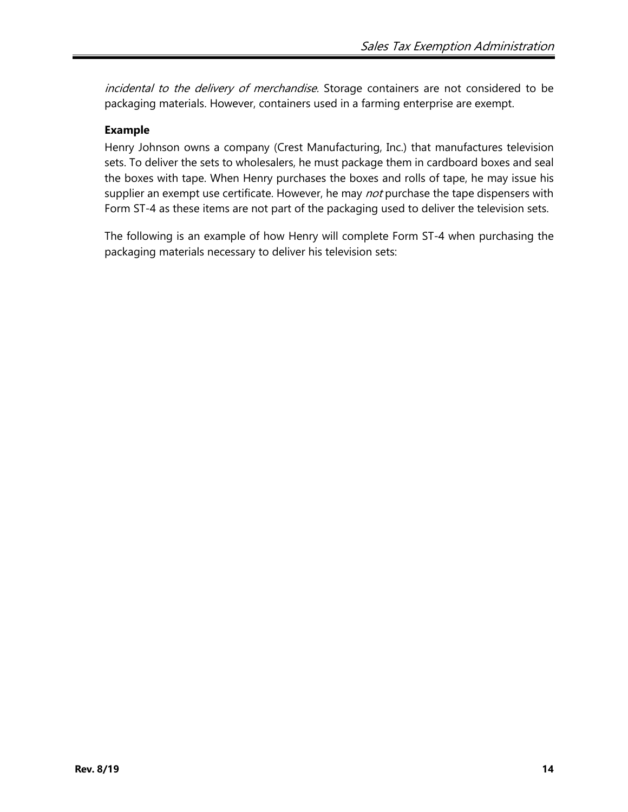incidental to the delivery of merchandise. Storage containers are not considered to be packaging materials. However, containers used in a farming enterprise are exempt.

### **Example**

Henry Johnson owns a company (Crest Manufacturing, Inc.) that manufactures television sets. To deliver the sets to wholesalers, he must package them in cardboard boxes and seal the boxes with tape. When Henry purchases the boxes and rolls of tape, he may issue his supplier an exempt use certificate. However, he may not purchase the tape dispensers with Form ST-4 as these items are not part of the packaging used to deliver the television sets.

The following is an example of how Henry will complete Form ST-4 when purchasing the packaging materials necessary to deliver his television sets: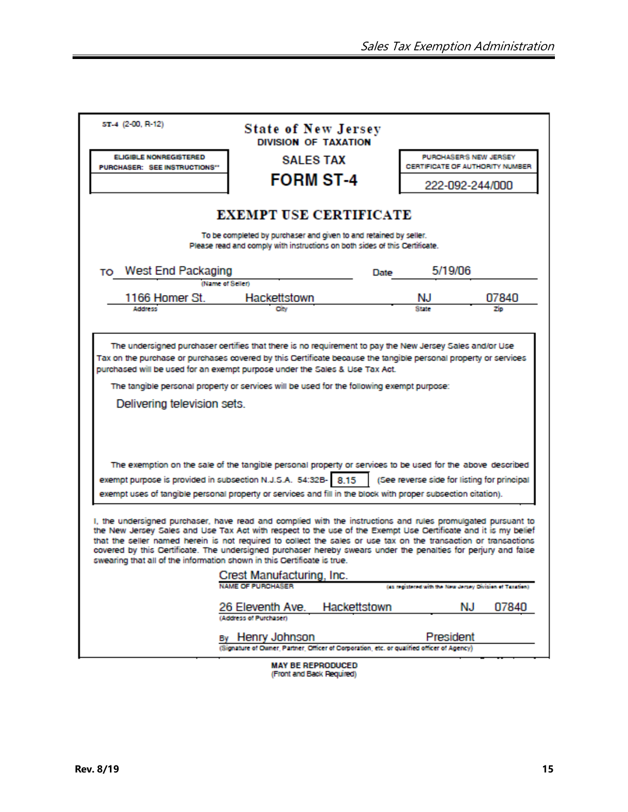| ST-4 (2-00, R-12)                                                                                                                                                                                                                                                                                                                                                                                                                                                                                                                              | <b>State of New Jersey</b><br>DIVISION OF TAXATION     |                                                                              |                                                           |       |  |  |  |  |  |  |
|------------------------------------------------------------------------------------------------------------------------------------------------------------------------------------------------------------------------------------------------------------------------------------------------------------------------------------------------------------------------------------------------------------------------------------------------------------------------------------------------------------------------------------------------|--------------------------------------------------------|------------------------------------------------------------------------------|-----------------------------------------------------------|-------|--|--|--|--|--|--|
| <b>ELIGIBLE NONREGISTERED</b><br>PURCHASER: SEE INSTRUCTIONS"                                                                                                                                                                                                                                                                                                                                                                                                                                                                                  | <b>SALES TAX</b>                                       |                                                                              | PURCHASER'S NEW JERSEY<br>CERTIFICATE OF AUTHORITY NUMBER |       |  |  |  |  |  |  |
|                                                                                                                                                                                                                                                                                                                                                                                                                                                                                                                                                | <b>FORM ST-4</b>                                       |                                                                              | 222-092-244/000                                           |       |  |  |  |  |  |  |
|                                                                                                                                                                                                                                                                                                                                                                                                                                                                                                                                                |                                                        |                                                                              |                                                           |       |  |  |  |  |  |  |
| <b>EXEMPT USE CERTIFICATE</b>                                                                                                                                                                                                                                                                                                                                                                                                                                                                                                                  |                                                        |                                                                              |                                                           |       |  |  |  |  |  |  |
| To be completed by purchaser and given to and retained by seller.<br>Please read and comply with instructions on both sides of this Certificate.                                                                                                                                                                                                                                                                                                                                                                                               |                                                        |                                                                              |                                                           |       |  |  |  |  |  |  |
| To West End Packaging                                                                                                                                                                                                                                                                                                                                                                                                                                                                                                                          |                                                        | Date                                                                         | 5/19/06                                                   |       |  |  |  |  |  |  |
| (Name of Seller)                                                                                                                                                                                                                                                                                                                                                                                                                                                                                                                               |                                                        |                                                                              |                                                           |       |  |  |  |  |  |  |
| 1166 Homer St.                                                                                                                                                                                                                                                                                                                                                                                                                                                                                                                                 | Hackettstown                                           |                                                                              | NJ.                                                       | 07840 |  |  |  |  |  |  |
| <b>Address</b>                                                                                                                                                                                                                                                                                                                                                                                                                                                                                                                                 | City                                                   |                                                                              |                                                           |       |  |  |  |  |  |  |
|                                                                                                                                                                                                                                                                                                                                                                                                                                                                                                                                                |                                                        |                                                                              |                                                           |       |  |  |  |  |  |  |
| Tax on the purchase or purchases covered by this Certificate because the tangible personal property or services<br>purchased will be used for an exempt purpose under the Sales & Use Tax Act.<br>The tangible personal property or services will be used for the following exempt purpose:<br>Delivering television sets.                                                                                                                                                                                                                     |                                                        |                                                                              |                                                           |       |  |  |  |  |  |  |
| The exemption on the sale of the tangible personal property or services to be used for the above described                                                                                                                                                                                                                                                                                                                                                                                                                                     |                                                        |                                                                              |                                                           |       |  |  |  |  |  |  |
| exempt purpose is provided in subsection N.J.S.A. 54:32B- 8.15                                                                                                                                                                                                                                                                                                                                                                                                                                                                                 |                                                        |                                                                              | (See reverse side for listing for principal               |       |  |  |  |  |  |  |
| exempt uses of tangible personal property or services and fill in the block with proper subsection citation).                                                                                                                                                                                                                                                                                                                                                                                                                                  |                                                        |                                                                              |                                                           |       |  |  |  |  |  |  |
| I, the undersigned purchaser, have read and complied with the instructions and rules promulgated pursuant to<br>the New Jersey Sales and Use Tax Act with respect to the use of the Exempt Use Certificate and it is my belief<br>that the seller named herein is not required to collect the sales or use tax on the transaction or transactions<br>covered by this Certificate. The undersigned purchaser hereby swears under the penalties for perjury and false<br>swearing that all of the information shown in this Certificate is true. |                                                        |                                                                              |                                                           |       |  |  |  |  |  |  |
| Crest Manufacturing, Inc.                                                                                                                                                                                                                                                                                                                                                                                                                                                                                                                      |                                                        |                                                                              |                                                           |       |  |  |  |  |  |  |
|                                                                                                                                                                                                                                                                                                                                                                                                                                                                                                                                                | (as maistered with the New Jersey Division of Taxaben) |                                                                              |                                                           |       |  |  |  |  |  |  |
|                                                                                                                                                                                                                                                                                                                                                                                                                                                                                                                                                | 26 Eleventh Ave.<br>(Address of Purchaser)             | Hackettstown                                                                 | NJ                                                        | 07840 |  |  |  |  |  |  |
|                                                                                                                                                                                                                                                                                                                                                                                                                                                                                                                                                | By Henry Johnson                                       |                                                                              | President                                                 |       |  |  |  |  |  |  |
|                                                                                                                                                                                                                                                                                                                                                                                                                                                                                                                                                |                                                        | Owner, Partner, Officer of Corporation, etc. or qualified officer of Agency) |                                                           |       |  |  |  |  |  |  |
|                                                                                                                                                                                                                                                                                                                                                                                                                                                                                                                                                | <b>UAV DE DEDDOMINER</b>                               |                                                                              |                                                           |       |  |  |  |  |  |  |

MAY BE REPRODUCED<br>(Front and Back Required)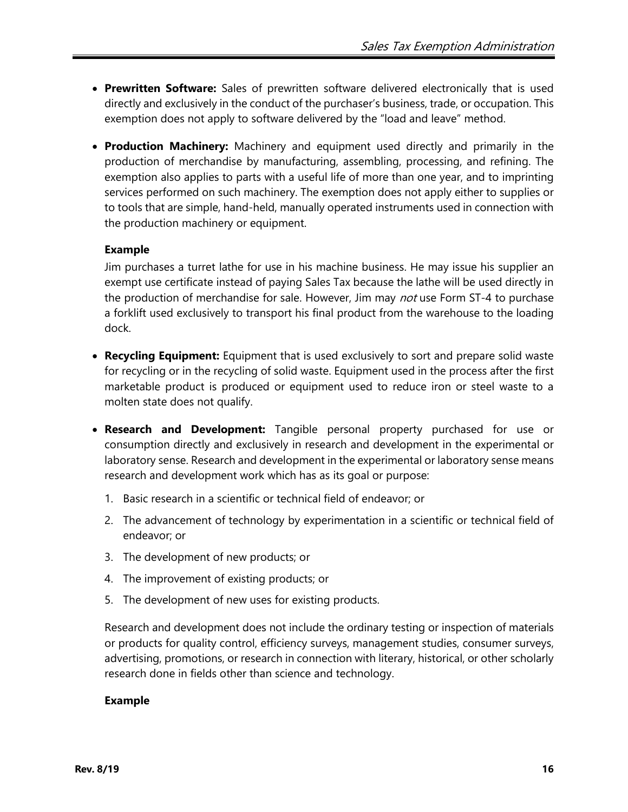- **Prewritten Software:** Sales of prewritten software delivered electronically that is used directly and exclusively in the conduct of the purchaser's business, trade, or occupation. This exemption does not apply to software delivered by the "load and leave" method.
- **Production Machinery:** Machinery and equipment used directly and primarily in the production of merchandise by manufacturing, assembling, processing, and refining. The exemption also applies to parts with a useful life of more than one year, and to imprinting services performed on such machinery. The exemption does not apply either to supplies or to tools that are simple, hand-held, manually operated instruments used in connection with the production machinery or equipment.

#### **Example**

Jim purchases a turret lathe for use in his machine business. He may issue his supplier an exempt use certificate instead of paying Sales Tax because the lathe will be used directly in the production of merchandise for sale. However, Jim may not use Form ST-4 to purchase a forklift used exclusively to transport his final product from the warehouse to the loading dock.

- **Recycling Equipment:** Equipment that is used exclusively to sort and prepare solid waste for recycling or in the recycling of solid waste. Equipment used in the process after the first marketable product is produced or equipment used to reduce iron or steel waste to a molten state does not qualify.
- **Research and Development:** Tangible personal property purchased for use or consumption directly and exclusively in research and development in the experimental or laboratory sense. Research and development in the experimental or laboratory sense means research and development work which has as its goal or purpose:
	- 1. Basic research in a scientific or technical field of endeavor; or
	- 2. The advancement of technology by experimentation in a scientific or technical field of endeavor; or
	- 3. The development of new products; or
	- 4. The improvement of existing products; or
	- 5. The development of new uses for existing products.

Research and development does not include the ordinary testing or inspection of materials or products for quality control, efficiency surveys, management studies, consumer surveys, advertising, promotions, or research in connection with literary, historical, or other scholarly research done in fields other than science and technology.

#### **Example**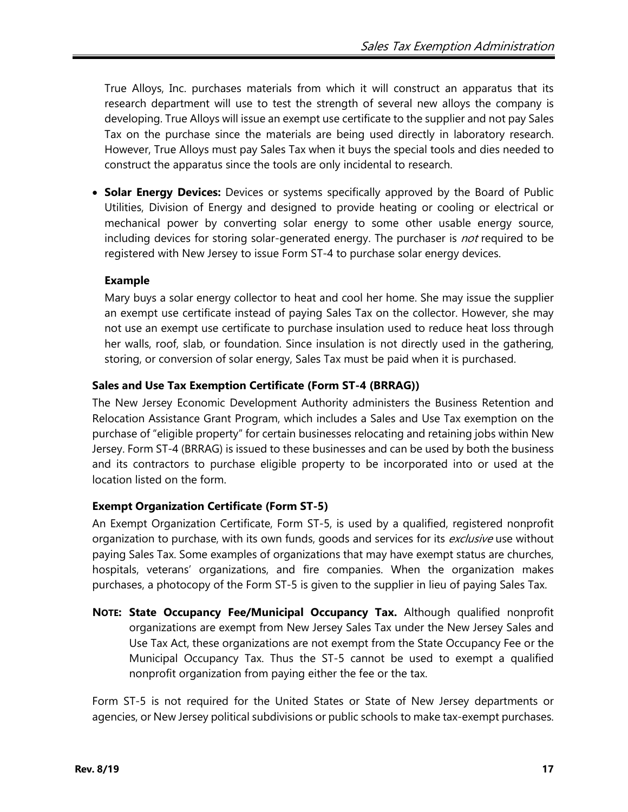True Alloys, Inc. purchases materials from which it will construct an apparatus that its research department will use to test the strength of several new alloys the company is developing. True Alloys will issue an exempt use certificate to the supplier and not pay Sales Tax on the purchase since the materials are being used directly in laboratory research. However, True Alloys must pay Sales Tax when it buys the special tools and dies needed to construct the apparatus since the tools are only incidental to research.

• **Solar Energy Devices:** Devices or systems specifically approved by the Board of Public Utilities, Division of Energy and designed to provide heating or cooling or electrical or mechanical power by converting solar energy to some other usable energy source, including devices for storing solar-generated energy. The purchaser is *not* required to be registered with New Jersey to issue Form ST-4 to purchase solar energy devices.

#### **Example**

Mary buys a solar energy collector to heat and cool her home. She may issue the supplier an exempt use certificate instead of paying Sales Tax on the collector. However, she may not use an exempt use certificate to purchase insulation used to reduce heat loss through her walls, roof, slab, or foundation. Since insulation is not directly used in the gathering, storing, or conversion of solar energy, Sales Tax must be paid when it is purchased.

### **Sales and Use Tax Exemption Certificate (Form ST-4 (BRRAG))**

The New Jersey Economic Development Authority administers the Business Retention and Relocation Assistance Grant Program, which includes a Sales and Use Tax exemption on the purchase of "eligible property" for certain businesses relocating and retaining jobs within New Jersey. Form ST-4 (BRRAG) is issued to these businesses and can be used by both the business and its contractors to purchase eligible property to be incorporated into or used at the location listed on the form.

## <span id="page-16-0"></span>**Exempt Organization Certificate (Form ST-5)**

An Exempt Organization Certificate, Form ST-5, is used by a qualified, registered nonprofit organization to purchase, with its own funds, goods and services for its exclusive use without paying Sales Tax. Some examples of organizations that may have exempt status are churches, hospitals, veterans' organizations, and fire companies. When the organization makes purchases, a photocopy of the Form ST-5 is given to the supplier in lieu of paying Sales Tax.

**NOTE: State Occupancy Fee/Municipal Occupancy Tax.** Although qualified nonprofit organizations are exempt from New Jersey Sales Tax under the New Jersey Sales and Use Tax Act, these organizations are not exempt from the State Occupancy Fee or the Municipal Occupancy Tax. Thus the ST-5 cannot be used to exempt a qualified nonprofit organization from paying either the fee or the tax.

Form ST-5 is not required for the United States or State of New Jersey departments or agencies, or New Jersey political subdivisions or public schools to make tax-exempt purchases.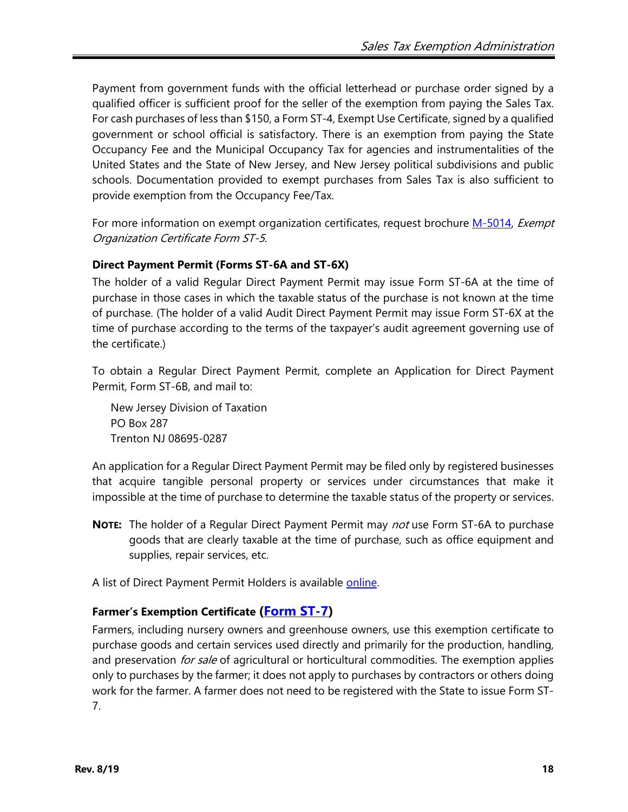Payment from government funds with the official letterhead or purchase order signed by a qualified officer is sufficient proof for the seller of the exemption from paying the Sales Tax. For cash purchases of less than \$150, a Form ST-4, Exempt Use Certificate, signed by a qualified government or school official is satisfactory. There is an exemption from paying the State Occupancy Fee and the Municipal Occupancy Tax for agencies and instrumentalities of the United States and the State of New Jersey, and New Jersey political subdivisions and public schools. Documentation provided to exempt purchases from Sales Tax is also sufficient to provide exemption from the Occupancy Fee/Tax.

For more information on exempt organization certificates, request brochure [M-5014,](http://www.state.nj.us/treasury/taxation/pdf/pubs/sales/st5.pdf) Exempt Organization Certificate Form ST-5.

### **Direct Payment Permit (Forms ST-6A and ST-6X)**

The holder of a valid Regular Direct Payment Permit may issue Form ST-6A at the time of purchase in those cases in which the taxable status of the purchase is not known at the time of purchase. (The holder of a valid Audit Direct Payment Permit may issue Form ST-6X at the time of purchase according to the terms of the taxpayer's audit agreement governing use of the certificate.)

To obtain a Regular Direct Payment Permit, complete an Application for Direct Payment Permit, Form ST-6B, and mail to:

New Jersey Division of Taxation PO Box 287 Trenton NJ 08695-0287

An application for a Regular Direct Payment Permit may be filed only by registered businesses that acquire tangible personal property or services under circumstances that make it impossible at the time of purchase to determine the taxable status of the property or services.

**NOTE:** The holder of a Regular Direct Payment Permit may not use Form ST-6A to purchase goods that are clearly taxable at the time of purchase, such as office equipment and supplies, repair services, etc.

A list of Direct Payment Permit Holders is available [online.](http://www.state.nj.us/treasury/taxation/taxinfo.shtml)

## **Farmer's Exemption Certificate [\(Form ST-7\)](http://www.state.nj.us/treasury/taxation/pdf/other_forms/sales/st7.pdf)**

Farmers, including nursery owners and greenhouse owners, use this exemption certificate to purchase goods and certain services used directly and primarily for the production, handling, and preservation *for sale* of agricultural or horticultural commodities. The exemption applies only to purchases by the farmer; it does not apply to purchases by contractors or others doing work for the farmer. A farmer does not need to be registered with the State to issue Form ST-7.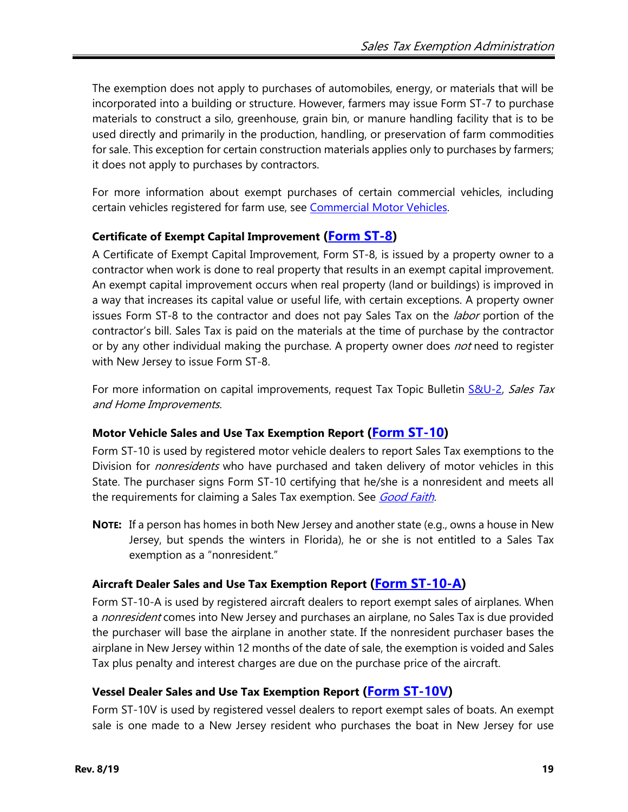The exemption does not apply to purchases of automobiles, energy, or materials that will be incorporated into a building or structure. However, farmers may issue Form ST-7 to purchase materials to construct a silo, greenhouse, grain bin, or manure handling facility that is to be used directly and primarily in the production, handling, or preservation of farm commodities for sale. This exception for certain construction materials applies only to purchases by farmers; it does not apply to purchases by contractors.

For more information about exempt purchases of certain commercial vehicles, including certain vehicles registered for farm use, see [Commercial Motor Vehicles.](#page-10-0)

## **Certificate of Exempt Capital Improvement [\(Form ST-8\)](http://www.state.nj.us/treasury/taxation/pdf/other_forms/sales/st8.pdf)**

A Certificate of Exempt Capital Improvement, Form ST-8, is issued by a property owner to a contractor when work is done to real property that results in an exempt capital improvement. An exempt capital improvement occurs when real property (land or buildings) is improved in a way that increases its capital value or useful life, with certain exceptions. A property owner issues Form ST-8 to the contractor and does not pay Sales Tax on the *labor* portion of the contractor's bill. Sales Tax is paid on the materials at the time of purchase by the contractor or by any other individual making the purchase. A property owner does *not* need to register with New Jersey to issue Form ST-8.

For more information on capital improvements, request Tax Topic Bulletin [S&U-2,](http://www.state.nj.us/treasury/taxation/pdf/pubs/sales/su2.pdf) Sales Tax and Home Improvements.

## **Motor Vehicle Sales and Use Tax Exemption Report (Form [ST-10\)](http://www.state.nj.us/treasury/taxation/pdf/other_forms/sales/st10.pdf)**

Form ST-10 is used by registered motor vehicle dealers to report Sales Tax exemptions to the Division for *nonresidents* who have purchased and taken delivery of motor vehicles in this State. The purchaser signs Form ST-10 certifying that he/she is a nonresident and meets all the requirements for claiming a Sales Tax exemption. See *[Good Faith.](#page-4-0)* 

**NOTE:** If a person has homes in both New Jersey and another state (e.g., owns a house in New Jersey, but spends the winters in Florida), he or she is not entitled to a Sales Tax exemption as a "nonresident."

## **Aircraft Dealer Sales and Use Tax Exemption Report [\(Form ST-10-A\)](http://www.state.nj.us/treasury/taxation/pdf/other_forms/sales/st10a.pdf)**

Form ST-10-A is used by registered aircraft dealers to report exempt sales of airplanes. When a *nonresident* comes into New Jersey and purchases an airplane, no Sales Tax is due provided the purchaser will base the airplane in another state. If the nonresident purchaser bases the airplane in New Jersey within 12 months of the date of sale, the exemption is voided and Sales Tax plus penalty and interest charges are due on the purchase price of the aircraft.

## **Vessel Dealer Sales and Use Tax Exemption Report [\(Form ST-10V\)](http://www.state.nj.us/treasury/taxation/pdf/other_forms/sales/st10sup.pdf)**

Form ST-10V is used by registered vessel dealers to report exempt sales of boats. An exempt sale is one made to a New Jersey resident who purchases the boat in New Jersey for use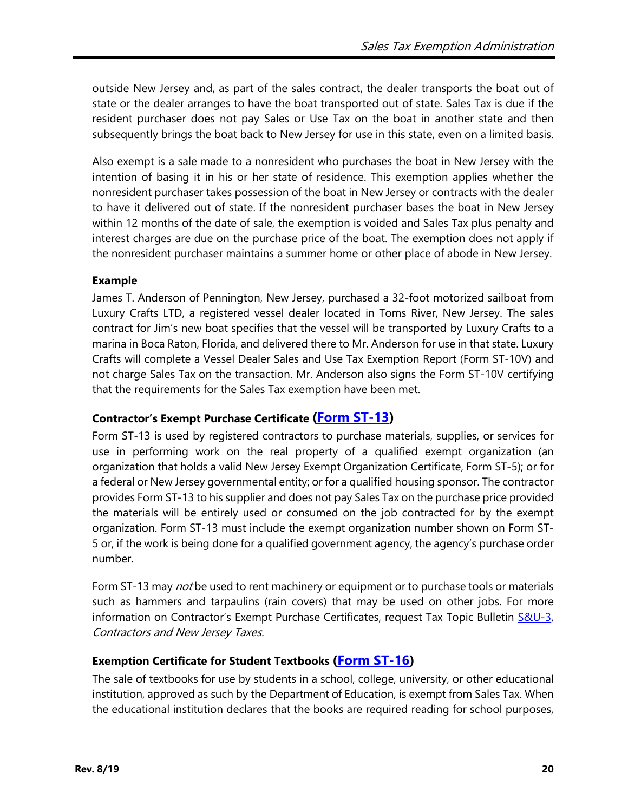outside New Jersey and, as part of the sales contract, the dealer transports the boat out of state or the dealer arranges to have the boat transported out of state. Sales Tax is due if the resident purchaser does not pay Sales or Use Tax on the boat in another state and then subsequently brings the boat back to New Jersey for use in this state, even on a limited basis.

Also exempt is a sale made to a nonresident who purchases the boat in New Jersey with the intention of basing it in his or her state of residence. This exemption applies whether the nonresident purchaser takes possession of the boat in New Jersey or contracts with the dealer to have it delivered out of state. If the nonresident purchaser bases the boat in New Jersey within 12 months of the date of sale, the exemption is voided and Sales Tax plus penalty and interest charges are due on the purchase price of the boat. The exemption does not apply if the nonresident purchaser maintains a summer home or other place of abode in New Jersey.

#### **Example**

James T. Anderson of Pennington, New Jersey, purchased a 32-foot motorized sailboat from Luxury Crafts LTD, a registered vessel dealer located in Toms River, New Jersey. The sales contract for Jim's new boat specifies that the vessel will be transported by Luxury Crafts to a marina in Boca Raton, Florida, and delivered there to Mr. Anderson for use in that state. Luxury Crafts will complete a Vessel Dealer Sales and Use Tax Exemption Report (Form ST-10V) and not charge Sales Tax on the transaction. Mr. Anderson also signs the Form ST-10V certifying that the requirements for the Sales Tax exemption have been met.

#### <span id="page-19-0"></span>**Contractor's Exempt Purchase Certificate [\(Form ST-13\)](http://www.state.nj.us/treasury/taxation/pdf/other_forms/sales/st13.pdf)**

Form ST-13 is used by registered contractors to purchase materials, supplies, or services for use in performing work on the real property of a qualified exempt organization (an organization that holds a valid New Jersey Exempt Organization Certificate, Form ST-5); or for a federal or New Jersey governmental entity; or for a qualified housing sponsor. The contractor provides Form ST-13 to his supplier and does not pay Sales Tax on the purchase price provided the materials will be entirely used or consumed on the job contracted for by the exempt organization. Form ST-13 must include the exempt organization number shown on Form ST-5 or, if the work is being done for a qualified government agency, the agency's purchase order number.

Form ST-13 may *not* be used to rent machinery or equipment or to purchase tools or materials such as hammers and tarpaulins (rain covers) that may be used on other jobs. For more information on Contractor's Exempt Purchase Certificates, request Tax Topic Bulletin S&U-3, Contractors and New Jersey Taxes.

#### **Exemption Certificate for Student Textbooks [\(Form ST-16\)](http://www.state.nj.us/treasury/taxation/pdf/other_forms/sales/st16.pdf)**

The sale of textbooks for use by students in a school, college, university, or other educational institution, approved as such by the Department of Education, is exempt from Sales Tax. When the educational institution declares that the books are required reading for school purposes,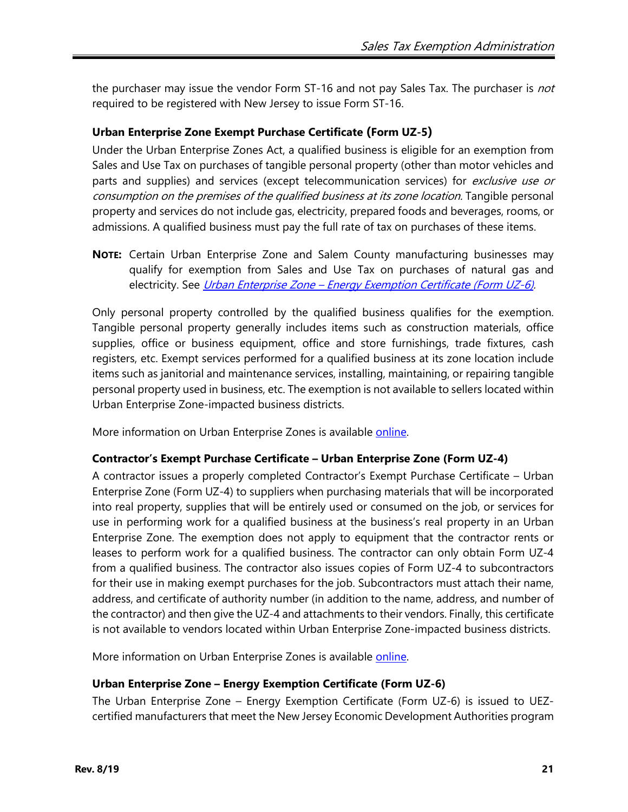the purchaser may issue the vendor Form ST-16 and not pay Sales Tax. The purchaser is *not* required to be registered with New Jersey to issue Form ST-16.

#### **Urban Enterprise Zone Exempt Purchase Certificate (Form UZ-5)**

Under the Urban Enterprise Zones Act, a qualified business is eligible for an exemption from Sales and Use Tax on purchases of tangible personal property (other than motor vehicles and parts and supplies) and services (except telecommunication services) for exclusive use or consumption on the premises of the qualified business at its zone location. Tangible personal property and services do not include gas, electricity, prepared foods and beverages, rooms, or admissions. A qualified business must pay the full rate of tax on purchases of these items.

**NOTE:** Certain Urban Enterprise Zone and Salem County manufacturing businesses may qualify for exemption from Sales and Use Tax on purchases of natural gas and electricity. See *Urban Enterprise Zone – Energy Exemption Certificate (Form UZ-6)*.

Only personal property controlled by the qualified business qualifies for the exemption. Tangible personal property generally includes items such as construction materials, office supplies, office or business equipment, office and store furnishings, trade fixtures, cash registers, etc. Exempt services performed for a qualified business at its zone location include items such as janitorial and maintenance services, installing, maintaining, or repairing tangible personal property used in business, etc. The exemption is not available to sellers located within Urban Enterprise Zone-impacted business districts.

<span id="page-20-0"></span>More information on Urban Enterprise Zones is available [online.](http://www.state.nj.us/treasury/taxation/uez.shtml)

#### **Contractor's Exempt Purchase Certificate – Urban Enterprise Zone (Form UZ-4)**

A contractor issues a properly completed Contractor's Exempt Purchase Certificate – Urban Enterprise Zone (Form UZ-4) to suppliers when purchasing materials that will be incorporated into real property, supplies that will be entirely used or consumed on the job, or services for use in performing work for a qualified business at the business's real property in an Urban Enterprise Zone. The exemption does not apply to equipment that the contractor rents or leases to perform work for a qualified business. The contractor can only obtain Form UZ-4 from a qualified business. The contractor also issues copies of Form UZ-4 to subcontractors for their use in making exempt purchases for the job. Subcontractors must attach their name, address, and certificate of authority number (in addition to the name, address, and number of the contractor) and then give the UZ-4 and attachments to their vendors. Finally, this certificate is not available to vendors located within Urban Enterprise Zone-impacted business districts.

More information on Urban Enterprise Zones is available [online.](http://www.state.nj.us/treasury/taxation/uez.shtml)

#### <span id="page-20-1"></span>**Urban Enterprise Zone – Energy Exemption Certificate (Form UZ-6)**

The Urban Enterprise Zone – Energy Exemption Certificate (Form UZ-6) is issued to UEZcertified manufacturers that meet the New Jersey Economic Development Authorities program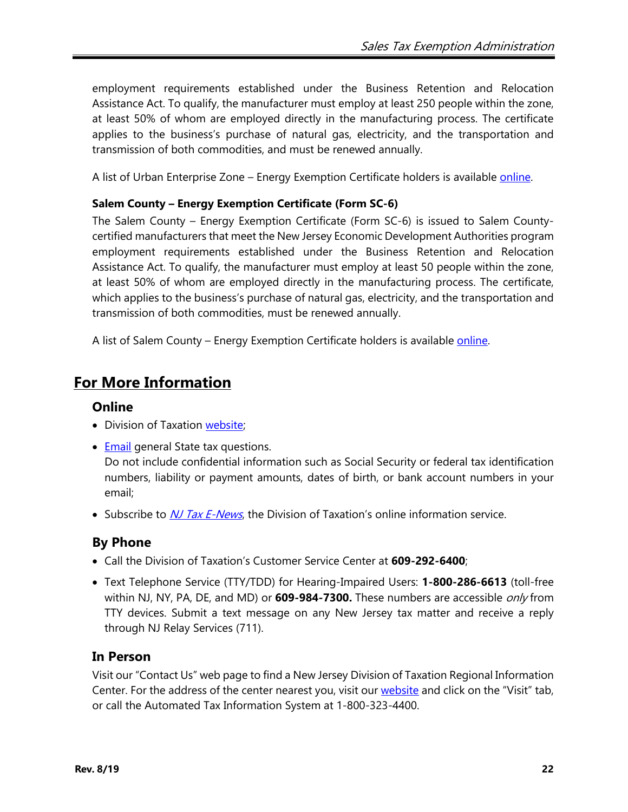employment requirements established under the Business Retention and Relocation Assistance Act. To qualify, the manufacturer must employ at least 250 people within the zone, at least 50% of whom are employed directly in the manufacturing process. The certificate applies to the business's purchase of natural gas, electricity, and the transportation and transmission of both commodities, and must be renewed annually.

A list of Urban Enterprise Zone – Energy Exemption Certificate holders is available [online.](http://www.state.nj.us/treasury/taxation/use_taxexemption.shtml)

#### **Salem County – Energy Exemption Certificate (Form SC-6)**

The Salem County – Energy Exemption Certificate (Form SC-6) is issued to Salem Countycertified manufacturers that meet the New Jersey Economic Development Authorities program employment requirements established under the Business Retention and Relocation Assistance Act. To qualify, the manufacturer must employ at least 50 people within the zone, at least 50% of whom are employed directly in the manufacturing process. The certificate, which applies to the business's purchase of natural gas, electricity, and the transportation and transmission of both commodities, must be renewed annually.

A list of Salem County – Energy Exemption Certificate holders is available [online.](http://www.state.nj.us/treasury/taxation/use_taxexemption.shtml)

# **For More Information**

#### **Online**

- Division of Taxation [website;](http://www.njtaxation.org/)
- [Email](https://www.state.nj.us/treas/taxation/contactus_tyttaxa.shtml) general State tax questions.

Do not include confidential information such as Social Security or federal tax identification numbers, liability or payment amounts, dates of birth, or bank account numbers in your email;

• Subscribe to *[NJ Tax E-News](http://www.state.nj.us/treasury/taxation/listservice.shtml)*, the Division of Taxation's online information service.

## **By Phone**

- Call the Division of Taxation's Customer Service Center at **609-292-6400**;
- Text Telephone Service (TTY/TDD) for Hearing-Impaired Users: **1-800-286-6613** (toll-free within NJ, NY, PA, DE, and MD) or **609-984-7300.** These numbers are accessible only from TTY devices. Submit a text message on any New Jersey tax matter and receive a reply through NJ Relay Services (711).

## **In Person**

Visit our "Contact Us" web page to find a New Jersey Division of Taxation Regional Information Center. For the address of the center nearest you, visit our [website](https://www.nj.gov/treasury/taxation/contact.shtml) and click on the "Visit" tab, or call the Automated Tax Information System at 1-800-323-4400.